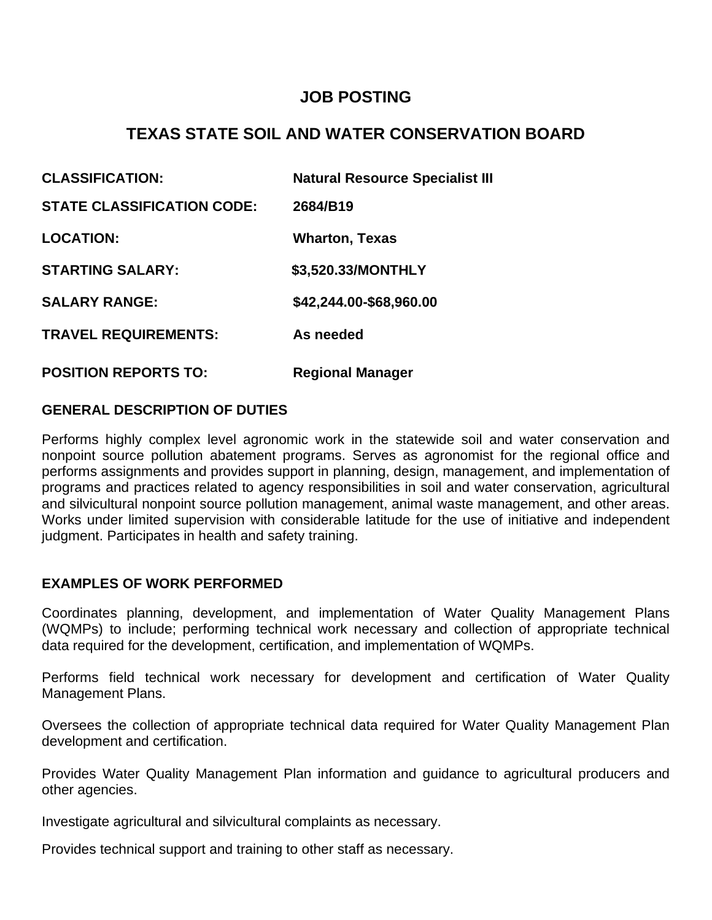# **JOB POSTING**

# **TEXAS STATE SOIL AND WATER CONSERVATION BOARD**

| <b>CLASSIFICATION:</b>            | <b>Natural Resource Specialist III</b> |
|-----------------------------------|----------------------------------------|
| <b>STATE CLASSIFICATION CODE:</b> | 2684/B19                               |
| <b>LOCATION:</b>                  | <b>Wharton, Texas</b>                  |
| <b>STARTING SALARY:</b>           | \$3,520.33/MONTHLY                     |
| <b>SALARY RANGE:</b>              | \$42,244.00-\$68,960.00                |
| <b>TRAVEL REQUIREMENTS:</b>       | As needed                              |
| <b>POSITION REPORTS TO:</b>       | <b>Regional Manager</b>                |

# **GENERAL DESCRIPTION OF DUTIES**

Performs highly complex level agronomic work in the statewide soil and water conservation and nonpoint source pollution abatement programs. Serves as agronomist for the regional office and performs assignments and provides support in planning, design, management, and implementation of programs and practices related to agency responsibilities in soil and water conservation, agricultural and silvicultural nonpoint source pollution management, animal waste management, and other areas. Works under limited supervision with considerable latitude for the use of initiative and independent judgment. Participates in health and safety training.

#### **EXAMPLES OF WORK PERFORMED**

Coordinates planning, development, and implementation of Water Quality Management Plans (WQMPs) to include; performing technical work necessary and collection of appropriate technical data required for the development, certification, and implementation of WQMPs.

Performs field technical work necessary for development and certification of Water Quality Management Plans.

Oversees the collection of appropriate technical data required for Water Quality Management Plan development and certification.

Provides Water Quality Management Plan information and guidance to agricultural producers and other agencies.

Investigate agricultural and silvicultural complaints as necessary.

Provides technical support and training to other staff as necessary.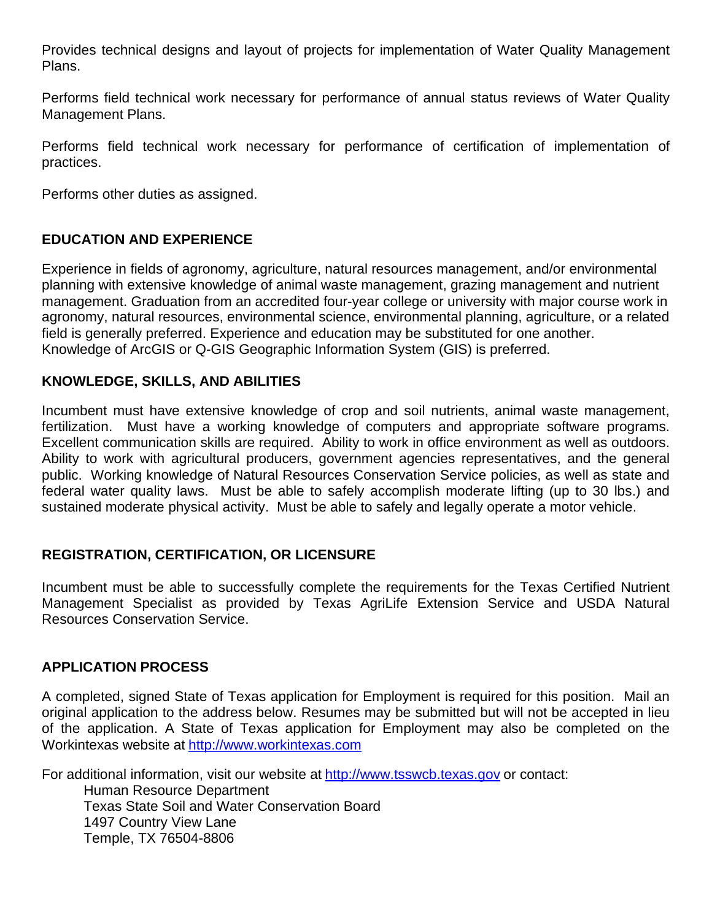Provides technical designs and layout of projects for implementation of Water Quality Management Plans.

Performs field technical work necessary for performance of annual status reviews of Water Quality Management Plans.

Performs field technical work necessary for performance of certification of implementation of practices.

Performs other duties as assigned.

## **EDUCATION AND EXPERIENCE**

Experience in fields of agronomy, agriculture, natural resources management, and/or environmental planning with extensive knowledge of animal waste management, grazing management and nutrient management. Graduation from an accredited four-year college or university with major course work in agronomy, natural resources, environmental science, environmental planning, agriculture, or a related field is generally preferred. Experience and education may be substituted for one another. Knowledge of ArcGIS or Q-GIS Geographic Information System (GIS) is preferred.

## **KNOWLEDGE, SKILLS, AND ABILITIES**

Incumbent must have extensive knowledge of crop and soil nutrients, animal waste management, fertilization. Must have a working knowledge of computers and appropriate software programs. Excellent communication skills are required. Ability to work in office environment as well as outdoors. Ability to work with agricultural producers, government agencies representatives, and the general public. Working knowledge of Natural Resources Conservation Service policies, as well as state and federal water quality laws. Must be able to safely accomplish moderate lifting (up to 30 lbs.) and sustained moderate physical activity. Must be able to safely and legally operate a motor vehicle.

## **REGISTRATION, CERTIFICATION, OR LICENSURE**

Incumbent must be able to successfully complete the requirements for the Texas Certified Nutrient Management Specialist as provided by Texas AgriLife Extension Service and USDA Natural Resources Conservation Service.

### **APPLICATION PROCESS**

A completed, signed State of Texas application for Employment is required for this position. Mail an original application to the address below. Resumes may be submitted but will not be accepted in lieu of the application. A State of Texas application for Employment may also be completed on the Workintexas website at http://www.workintexas.com

For additional information, visit our website at http://www.tsswcb.texas.gov or contact: Human Resource Department Texas State Soil and Water Conservation Board 1497 Country View Lane Temple, TX 76504-8806